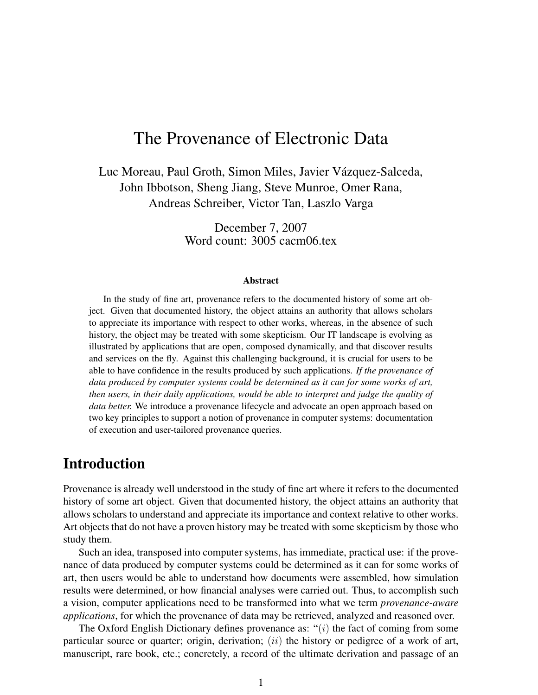# The Provenance of Electronic Data

Luc Moreau, Paul Groth, Simon Miles, Javier Vázquez-Salceda, John Ibbotson, Sheng Jiang, Steve Munroe, Omer Rana, Andreas Schreiber, Victor Tan, Laszlo Varga

> December 7, 2007 Word count: 3005 cacm06.tex

#### Abstract

In the study of fine art, provenance refers to the documented history of some art object. Given that documented history, the object attains an authority that allows scholars to appreciate its importance with respect to other works, whereas, in the absence of such history, the object may be treated with some skepticism. Our IT landscape is evolving as illustrated by applications that are open, composed dynamically, and that discover results and services on the fly. Against this challenging background, it is crucial for users to be able to have confidence in the results produced by such applications. *If the provenance of data produced by computer systems could be determined as it can for some works of art, then users, in their daily applications, would be able to interpret and judge the quality of data better.* We introduce a provenance lifecycle and advocate an open approach based on two key principles to support a notion of provenance in computer systems: documentation of execution and user-tailored provenance queries.

# Introduction

Provenance is already well understood in the study of fine art where it refers to the documented history of some art object. Given that documented history, the object attains an authority that allows scholars to understand and appreciate its importance and context relative to other works. Art objects that do not have a proven history may be treated with some skepticism by those who study them.

Such an idea, transposed into computer systems, has immediate, practical use: if the provenance of data produced by computer systems could be determined as it can for some works of art, then users would be able to understand how documents were assembled, how simulation results were determined, or how financial analyses were carried out. Thus, to accomplish such a vision, computer applications need to be transformed into what we term *provenance-aware applications*, for which the provenance of data may be retrieved, analyzed and reasoned over.

The Oxford English Dictionary defines provenance as:  $\cdot$  (i) the fact of coming from some particular source or quarter; origin, derivation;  $(ii)$  the history or pedigree of a work of art, manuscript, rare book, etc.; concretely, a record of the ultimate derivation and passage of an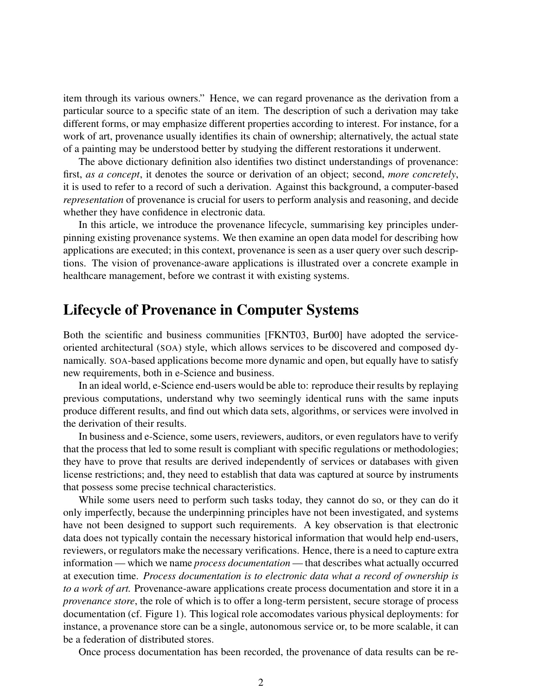item through its various owners." Hence, we can regard provenance as the derivation from a particular source to a specific state of an item. The description of such a derivation may take different forms, or may emphasize different properties according to interest. For instance, for a work of art, provenance usually identifies its chain of ownership; alternatively, the actual state of a painting may be understood better by studying the different restorations it underwent.

The above dictionary definition also identifies two distinct understandings of provenance: first, *as a concept*, it denotes the source or derivation of an object; second, *more concretely*, it is used to refer to a record of such a derivation. Against this background, a computer-based *representation* of provenance is crucial for users to perform analysis and reasoning, and decide whether they have confidence in electronic data.

In this article, we introduce the provenance lifecycle, summarising key principles underpinning existing provenance systems. We then examine an open data model for describing how applications are executed; in this context, provenance is seen as a user query over such descriptions. The vision of provenance-aware applications is illustrated over a concrete example in healthcare management, before we contrast it with existing systems.

## Lifecycle of Provenance in Computer Systems

Both the scientific and business communities [FKNT03, Bur00] have adopted the serviceoriented architectural (SOA) style, which allows services to be discovered and composed dynamically. SOA-based applications become more dynamic and open, but equally have to satisfy new requirements, both in e-Science and business.

In an ideal world, e-Science end-users would be able to: reproduce their results by replaying previous computations, understand why two seemingly identical runs with the same inputs produce different results, and find out which data sets, algorithms, or services were involved in the derivation of their results.

In business and e-Science, some users, reviewers, auditors, or even regulators have to verify that the process that led to some result is compliant with specific regulations or methodologies; they have to prove that results are derived independently of services or databases with given license restrictions; and, they need to establish that data was captured at source by instruments that possess some precise technical characteristics.

While some users need to perform such tasks today, they cannot do so, or they can do it only imperfectly, because the underpinning principles have not been investigated, and systems have not been designed to support such requirements. A key observation is that electronic data does not typically contain the necessary historical information that would help end-users, reviewers, or regulators make the necessary verifications. Hence, there is a need to capture extra information — which we name *process documentation* — that describes what actually occurred at execution time. *Process documentation is to electronic data what a record of ownership is to a work of art.* Provenance-aware applications create process documentation and store it in a *provenance store*, the role of which is to offer a long-term persistent, secure storage of process documentation (cf. Figure 1). This logical role accomodates various physical deployments: for instance, a provenance store can be a single, autonomous service or, to be more scalable, it can be a federation of distributed stores.

Once process documentation has been recorded, the provenance of data results can be re-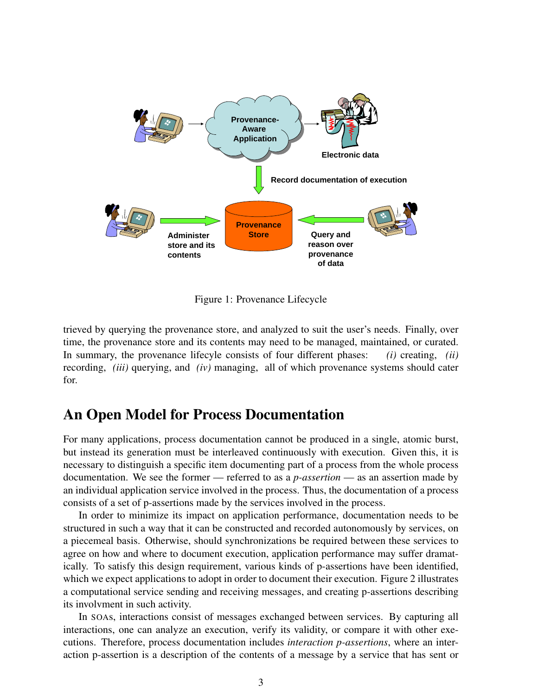

Figure 1: Provenance Lifecycle

trieved by querying the provenance store, and analyzed to suit the user's needs. Finally, over time, the provenance store and its contents may need to be managed, maintained, or curated. In summary, the provenance lifecyle consists of four different phases: *(i)* creating, *(ii)* recording, *(iii)* querying, and *(iv)* managing, all of which provenance systems should cater for.

#### An Open Model for Process Documentation

For many applications, process documentation cannot be produced in a single, atomic burst, but instead its generation must be interleaved continuously with execution. Given this, it is necessary to distinguish a specific item documenting part of a process from the whole process documentation. We see the former — referred to as a *p-assertion* — as an assertion made by an individual application service involved in the process. Thus, the documentation of a process consists of a set of p-assertions made by the services involved in the process.

In order to minimize its impact on application performance, documentation needs to be structured in such a way that it can be constructed and recorded autonomously by services, on a piecemeal basis. Otherwise, should synchronizations be required between these services to agree on how and where to document execution, application performance may suffer dramatically. To satisfy this design requirement, various kinds of p-assertions have been identified, which we expect applications to adopt in order to document their execution. Figure 2 illustrates a computational service sending and receiving messages, and creating p-assertions describing its involvment in such activity.

In SOAs, interactions consist of messages exchanged between services. By capturing all interactions, one can analyze an execution, verify its validity, or compare it with other executions. Therefore, process documentation includes *interaction p-assertions*, where an interaction p-assertion is a description of the contents of a message by a service that has sent or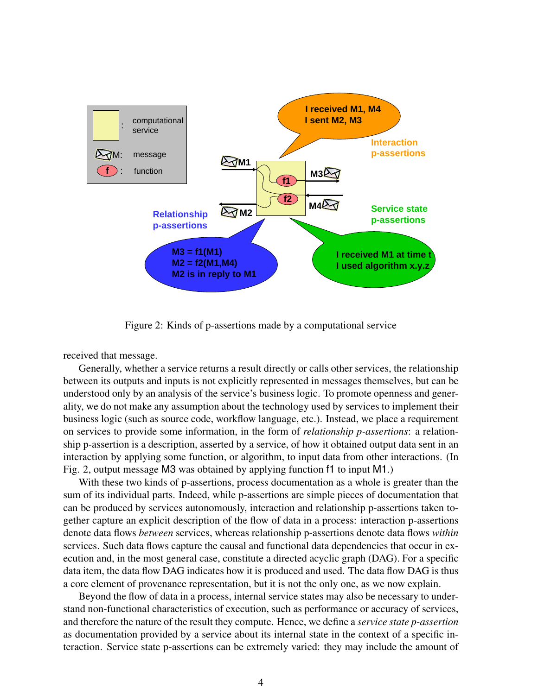

Figure 2: Kinds of p-assertions made by a computational service

received that message.

Generally, whether a service returns a result directly or calls other services, the relationship between its outputs and inputs is not explicitly represented in messages themselves, but can be understood only by an analysis of the service's business logic. To promote openness and generality, we do not make any assumption about the technology used by services to implement their business logic (such as source code, workflow language, etc.). Instead, we place a requirement on services to provide some information, in the form of *relationship p-assertions*: a relationship p-assertion is a description, asserted by a service, of how it obtained output data sent in an interaction by applying some function, or algorithm, to input data from other interactions. (In Fig. 2, output message M3 was obtained by applying function f1 to input M1.)

With these two kinds of p-assertions, process documentation as a whole is greater than the sum of its individual parts. Indeed, while p-assertions are simple pieces of documentation that can be produced by services autonomously, interaction and relationship p-assertions taken together capture an explicit description of the flow of data in a process: interaction p-assertions denote data flows *between* services, whereas relationship p-assertions denote data flows *within* services. Such data flows capture the causal and functional data dependencies that occur in execution and, in the most general case, constitute a directed acyclic graph (DAG). For a specific data item, the data flow DAG indicates how it is produced and used. The data flow DAG is thus a core element of provenance representation, but it is not the only one, as we now explain.

Beyond the flow of data in a process, internal service states may also be necessary to understand non-functional characteristics of execution, such as performance or accuracy of services, and therefore the nature of the result they compute. Hence, we define a *service state p-assertion* as documentation provided by a service about its internal state in the context of a specific interaction. Service state p-assertions can be extremely varied: they may include the amount of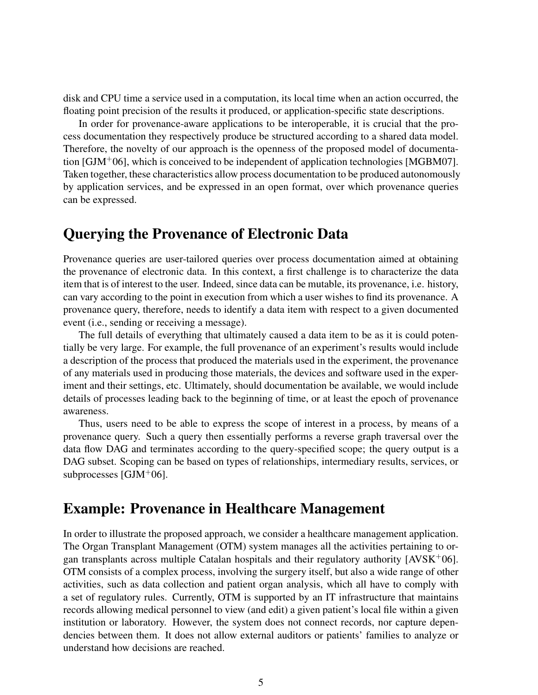disk and CPU time a service used in a computation, its local time when an action occurred, the floating point precision of the results it produced, or application-specific state descriptions.

In order for provenance-aware applications to be interoperable, it is crucial that the process documentation they respectively produce be structured according to a shared data model. Therefore, the novelty of our approach is the openness of the proposed model of documentation [GJM+06], which is conceived to be independent of application technologies [MGBM07]. Taken together, these characteristics allow process documentation to be produced autonomously by application services, and be expressed in an open format, over which provenance queries can be expressed.

# Querying the Provenance of Electronic Data

Provenance queries are user-tailored queries over process documentation aimed at obtaining the provenance of electronic data. In this context, a first challenge is to characterize the data item that is of interest to the user. Indeed, since data can be mutable, its provenance, i.e. history, can vary according to the point in execution from which a user wishes to find its provenance. A provenance query, therefore, needs to identify a data item with respect to a given documented event (i.e., sending or receiving a message).

The full details of everything that ultimately caused a data item to be as it is could potentially be very large. For example, the full provenance of an experiment's results would include a description of the process that produced the materials used in the experiment, the provenance of any materials used in producing those materials, the devices and software used in the experiment and their settings, etc. Ultimately, should documentation be available, we would include details of processes leading back to the beginning of time, or at least the epoch of provenance awareness.

Thus, users need to be able to express the scope of interest in a process, by means of a provenance query. Such a query then essentially performs a reverse graph traversal over the data flow DAG and terminates according to the query-specified scope; the query output is a DAG subset. Scoping can be based on types of relationships, intermediary results, services, or subprocesses [GJM<sup>+</sup>06].

#### Example: Provenance in Healthcare Management

In order to illustrate the proposed approach, we consider a healthcare management application. The Organ Transplant Management (OTM) system manages all the activities pertaining to organ transplants across multiple Catalan hospitals and their regulatory authority  $[AVSK^{+}06]$ . OTM consists of a complex process, involving the surgery itself, but also a wide range of other activities, such as data collection and patient organ analysis, which all have to comply with a set of regulatory rules. Currently, OTM is supported by an IT infrastructure that maintains records allowing medical personnel to view (and edit) a given patient's local file within a given institution or laboratory. However, the system does not connect records, nor capture dependencies between them. It does not allow external auditors or patients' families to analyze or understand how decisions are reached.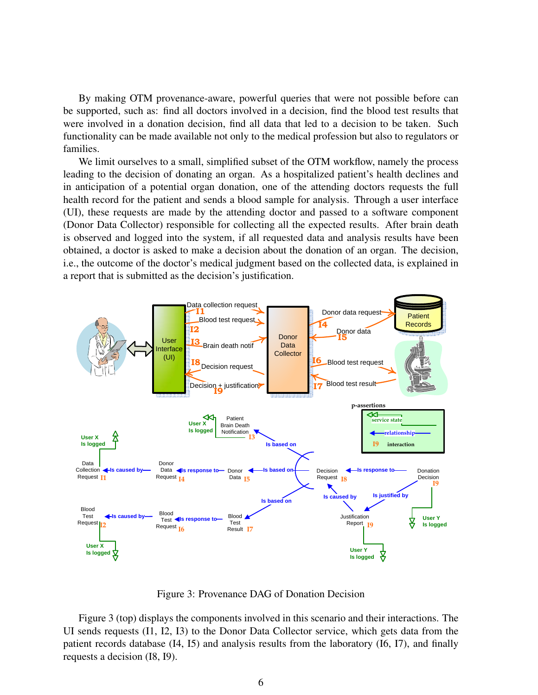By making OTM provenance-aware, powerful queries that were not possible before can be supported, such as: find all doctors involved in a decision, find the blood test results that were involved in a donation decision, find all data that led to a decision to be taken. Such functionality can be made available not only to the medical profession but also to regulators or families.

We limit ourselves to a small, simplified subset of the OTM workflow, namely the process leading to the decision of donating an organ. As a hospitalized patient's health declines and in anticipation of a potential organ donation, one of the attending doctors requests the full health record for the patient and sends a blood sample for analysis. Through a user interface (UI), these requests are made by the attending doctor and passed to a software component (Donor Data Collector) responsible for collecting all the expected results. After brain death is observed and logged into the system, if all requested data and analysis results have been obtained, a doctor is asked to make a decision about the donation of an organ. The decision, i.e., the outcome of the doctor's medical judgment based on the collected data, is explained in a report that is submitted as the decision's justification.



Figure 3: Provenance DAG of Donation Decision

Figure 3 (top) displays the components involved in this scenario and their interactions. The UI sends requests (I1, I2, I3) to the Donor Data Collector service, which gets data from the patient records database (I4, I5) and analysis results from the laboratory (I6, I7), and finally requests a decision (I8, I9).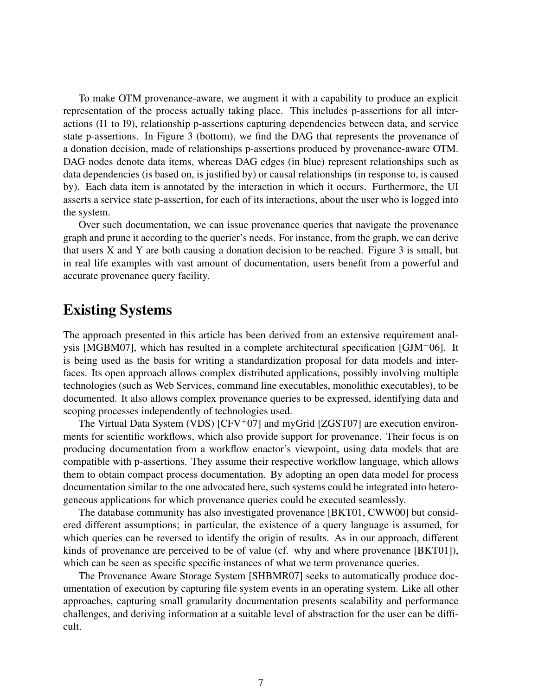To make OTM provenance-aware, we augment it with a capability to produce an explicit representation of the process actually taking place. This includes p-assertions for all interactions (I1 to I9), relationship p-assertions capturing dependencies between data, and service state p-assertions. In Figure 3 (bottom), we find the DAG that represents the provenance of a donation decision, made of relationships p-assertions produced by provenance-aware OTM. DAG nodes denote data items, whereas DAG edges (in blue) represent relationships such as data dependencies (is based on, is justified by) or causal relationships (in response to, is caused by). Each data item is annotated by the interaction in which it occurs. Furthermore, the UI asserts a service state p-assertion, for each of its interactions, about the user who is logged into the system.

Over such documentation, we can issue provenance queries that navigate the provenance graph and prune it according to the querier's needs. For instance, from the graph, we can derive that users  $X$  and  $Y$  are both causing a donation decision to be reached. Figure  $3$  is small, but in real life examples with vast amount of documentation, users benefit from a powerful and accurate provenance query facility.

## Existing Systems

The approach presented in this article has been derived from an extensive requirement analysis [MGBM07], which has resulted in a complete architectural specification [GJM+06]. It is being used as the basis for writing a standardization proposal for data models and interfaces. Its open approach allows complex distributed applications, possibly involving multiple technologies (such as Web Services, command line executables, monolithic executables), to be documented. It also allows complex provenance queries to be expressed, identifying data and scoping processes independently of technologies used.

The Virtual Data System (VDS)  $[CFV^+07]$  and myGrid  $[ZGST07]$  are execution environments for scientific workflows, which also provide support for provenance. Their focus is on producing documentation from a workflow enactor's viewpoint, using data models that are compatible with p-assertions. They assume their respective workflow language, which allows them to obtain compact process documentation. By adopting an open data model for process documentation similar to the one advocated here, such systems could be integrated into heterogeneous applications for which provenance queries could be executed seamlessly.

The database community has also investigated provenance [BKT01, CWW00] but considered different assumptions; in particular, the existence of a query language is assumed, for which queries can be reversed to identify the origin of results. As in our approach, different kinds of provenance are perceived to be of value (cf. why and where provenance [BKT01]), which can be seen as specific specific instances of what we term provenance queries.

The Provenance Aware Storage System [SHBMR07] seeks to automatically produce documentation of execution by capturing file system events in an operating system. Like all other approaches, capturing small granularity documentation presents scalability and performance challenges, and deriving information at a suitable level of abstraction for the user can be difficult.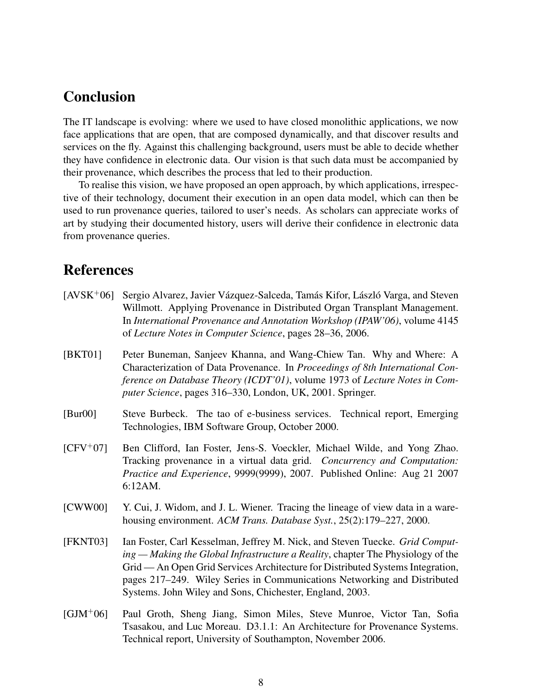# Conclusion

The IT landscape is evolving: where we used to have closed monolithic applications, we now face applications that are open, that are composed dynamically, and that discover results and services on the fly. Against this challenging background, users must be able to decide whether they have confidence in electronic data. Our vision is that such data must be accompanied by their provenance, which describes the process that led to their production.

To realise this vision, we have proposed an open approach, by which applications, irrespective of their technology, document their execution in an open data model, which can then be used to run provenance queries, tailored to user's needs. As scholars can appreciate works of art by studying their documented history, users will derive their confidence in electronic data from provenance queries.

# References

- $[AVSK<sup>+</sup>06]$  Sergio Alvarez, Javier Vázquez-Salceda, Tamás Kifor, László Varga, and Steven Willmott. Applying Provenance in Distributed Organ Transplant Management. In *International Provenance and Annotation Workshop (IPAW'06)*, volume 4145 of *Lecture Notes in Computer Science*, pages 28–36, 2006.
- [BKT01] Peter Buneman, Sanjeev Khanna, and Wang-Chiew Tan. Why and Where: A Characterization of Data Provenance. In *Proceedings of 8th International Conference on Database Theory (ICDT'01)*, volume 1973 of *Lecture Notes in Computer Science*, pages 316–330, London, UK, 2001. Springer.
- [Bur00] Steve Burbeck. The tao of e-business services. Technical report, Emerging Technologies, IBM Software Group, October 2000.
- [CFV<sup>+</sup>07] Ben Clifford, Ian Foster, Jens-S. Voeckler, Michael Wilde, and Yong Zhao. Tracking provenance in a virtual data grid. *Concurrency and Computation: Practice and Experience*, 9999(9999), 2007. Published Online: Aug 21 2007 6:12AM.
- [CWW00] Y. Cui, J. Widom, and J. L. Wiener. Tracing the lineage of view data in a warehousing environment. *ACM Trans. Database Syst.*, 25(2):179–227, 2000.
- [FKNT03] Ian Foster, Carl Kesselman, Jeffrey M. Nick, and Steven Tuecke. *Grid Computing — Making the Global Infrastructure a Reality*, chapter The Physiology of the Grid — An Open Grid Services Architecture for Distributed Systems Integration, pages 217–249. Wiley Series in Communications Networking and Distributed Systems. John Wiley and Sons, Chichester, England, 2003.
- [GJM<sup>+</sup>06] Paul Groth, Sheng Jiang, Simon Miles, Steve Munroe, Victor Tan, Sofia Tsasakou, and Luc Moreau. D3.1.1: An Architecture for Provenance Systems. Technical report, University of Southampton, November 2006.